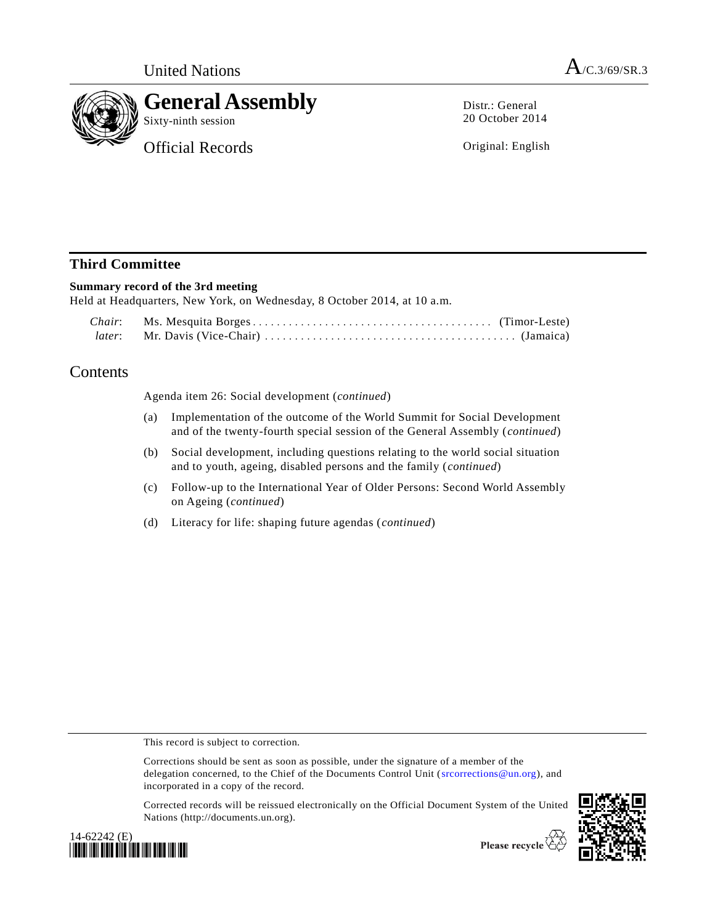

Distr.: General 20 October 2014

Original: English

## **Third Committee**

## **Summary record of the 3rd meeting**

Held at Headquarters, New York, on Wednesday, 8 October 2014, at 10 a.m.

## Contents

Agenda item 26: Social development (*continued*)

- (a) Implementation of the outcome of the World Summit for Social Development and of the twenty-fourth special session of the General Assembly (*continued*)
- (b) Social development, including questions relating to the world social situation and to youth, ageing, disabled persons and the family (*continued*)
- (c) Follow-up to the International Year of Older Persons: Second World Assembly on Ageing (*continued*)
- (d) Literacy for life: shaping future agendas (*continued*)

This record is subject to correction.

Corrections should be sent as soon as possible, under the signature of a member of the delegation concerned, to the Chief of the Documents Control Unit [\(srcorrections@un.org\)](mailto:srcorrections@un.org), and incorporated in a copy of the record.

Corrected records will be reissued electronically on the Official Document System of the United Nations (http://documents.un.org).



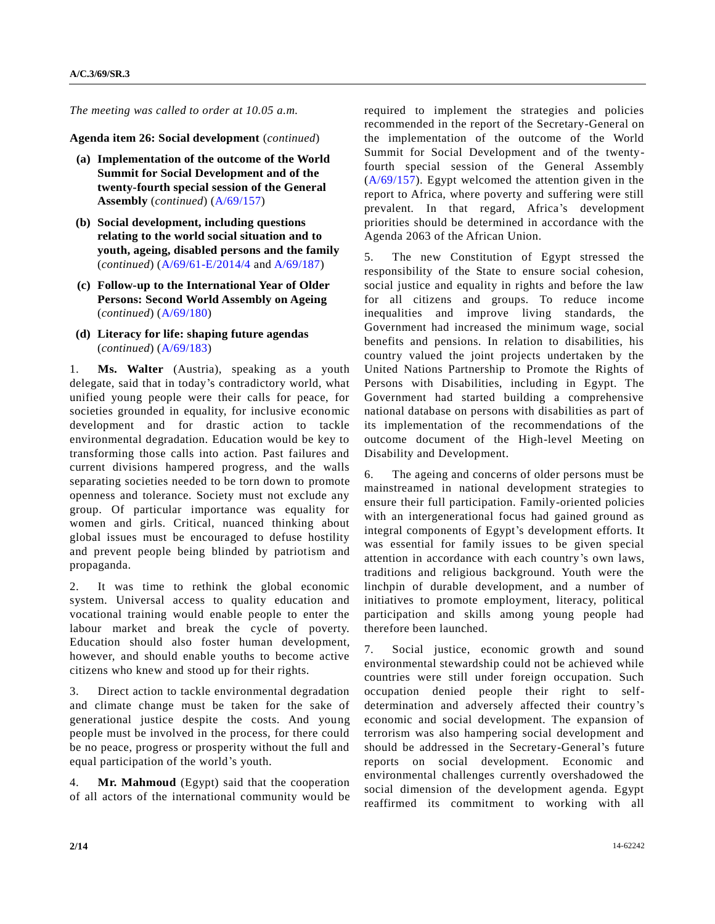*The meeting was called to order at 10.05 a.m.*

**Agenda item 26: Social development** (*continued*)

- **(a) Implementation of the outcome of the World Summit for Social Development and of the twenty-fourth special session of the General Assembly** (*continued*) [\(A/69/157\)](http://undocs.org/A/69/157)
- **(b) Social development, including questions relating to the world social situation and to youth, ageing, disabled persons and the family**  (*continued*) [\(A/69/61-E/2014/4](http://undocs.org/A/69/61) an[d A/69/187\)](http://undocs.org/A/69/187)
- **(c) Follow-up to the International Year of Older Persons: Second World Assembly on Ageing**  (*continued*) [\(A/69/180\)](http://undocs.org/A/69/180)
- **(d) Literacy for life: shaping future agendas**  (*continued*) [\(A/69/183\)](http://undocs.org/A/69/183)

**Ms. Walter** (Austria), speaking as a youth delegate, said that in today's contradictory world, what unified young people were their calls for peace, for societies grounded in equality, for inclusive economic development and for drastic action to tackle environmental degradation. Education would be key to transforming those calls into action. Past failures and current divisions hampered progress, and the walls separating societies needed to be torn down to promote openness and tolerance. Society must not exclude any group. Of particular importance was equality for women and girls. Critical, nuanced thinking about global issues must be encouraged to defuse hostility and prevent people being blinded by patriotism and propaganda.

2. It was time to rethink the global economic system. Universal access to quality education and vocational training would enable people to enter the labour market and break the cycle of poverty. Education should also foster human development, however, and should enable youths to become active citizens who knew and stood up for their rights.

3. Direct action to tackle environmental degradation and climate change must be taken for the sake of generational justice despite the costs. And young people must be involved in the process, for there could be no peace, progress or prosperity without the full and equal participation of the world's youth.

4. **Mr. Mahmoud** (Egypt) said that the cooperation of all actors of the international community would be required to implement the strategies and policies recommended in the report of the Secretary-General on the implementation of the outcome of the World Summit for Social Development and of the twentyfourth special session of the General Assembly [\(A/69/157\)](http://undocs.org/A/69/157). Egypt welcomed the attention given in the report to Africa, where poverty and suffering were still prevalent. In that regard, Africa's development priorities should be determined in accordance with the Agenda 2063 of the African Union.

5. The new Constitution of Egypt stressed the responsibility of the State to ensure social cohesion, social justice and equality in rights and before the law for all citizens and groups. To reduce income inequalities and improve living standards, the Government had increased the minimum wage, social benefits and pensions. In relation to disabilities, his country valued the joint projects undertaken by the United Nations Partnership to Promote the Rights of Persons with Disabilities, including in Egypt. The Government had started building a comprehensive national database on persons with disabilities as part of its implementation of the recommendations of the outcome document of the High-level Meeting on Disability and Development.

6. The ageing and concerns of older persons must be mainstreamed in national development strategies to ensure their full participation. Family-oriented policies with an intergenerational focus had gained ground as integral components of Egypt's development efforts. It was essential for family issues to be given special attention in accordance with each country's own laws, traditions and religious background. Youth were the linchpin of durable development, and a number of initiatives to promote employment, literacy, political participation and skills among young people had therefore been launched.

7. Social justice, economic growth and sound environmental stewardship could not be achieved while countries were still under foreign occupation. Such occupation denied people their right to selfdetermination and adversely affected their country's economic and social development. The expansion of terrorism was also hampering social development and should be addressed in the Secretary-General's future reports on social development. Economic and environmental challenges currently overshadowed the social dimension of the development agenda. Egypt reaffirmed its commitment to working with all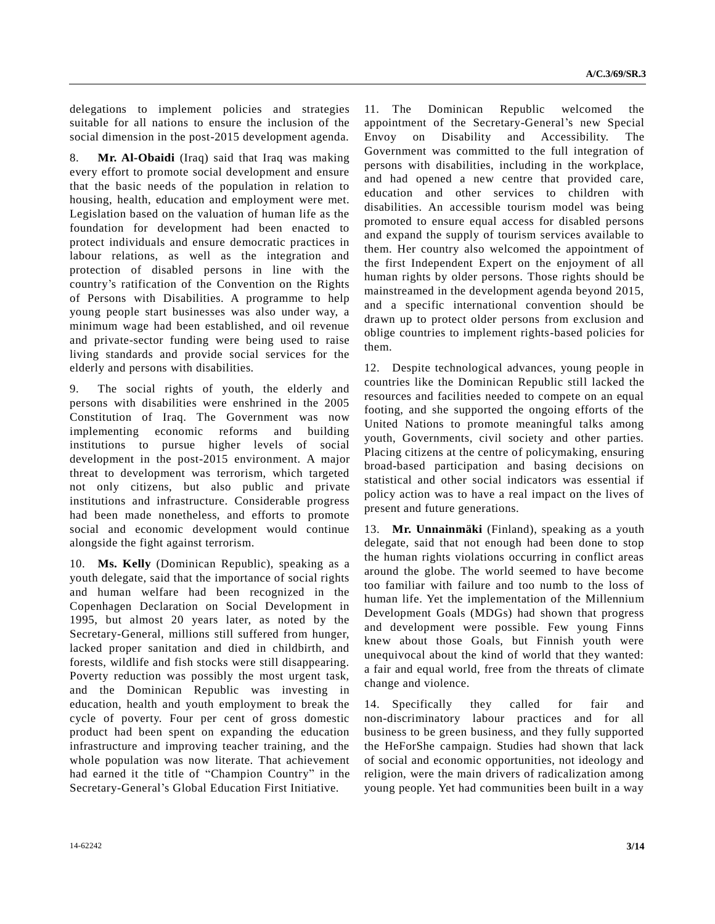delegations to implement policies and strategies suitable for all nations to ensure the inclusion of the social dimension in the post-2015 development agenda.

8. **Mr. Al-Obaidi** (Iraq) said that Iraq was making every effort to promote social development and ensure that the basic needs of the population in relation to housing, health, education and employment were met. Legislation based on the valuation of human life as the foundation for development had been enacted to protect individuals and ensure democratic practices in labour relations, as well as the integration and protection of disabled persons in line with the country's ratification of the Convention on the Rights of Persons with Disabilities. A programme to help young people start businesses was also under way, a minimum wage had been established, and oil revenue and private-sector funding were being used to raise living standards and provide social services for the elderly and persons with disabilities.

9. The social rights of youth, the elderly and persons with disabilities were enshrined in the 2005 Constitution of Iraq. The Government was now implementing economic reforms and building institutions to pursue higher levels of social development in the post-2015 environment. A major threat to development was terrorism, which targeted not only citizens, but also public and private institutions and infrastructure. Considerable progress had been made nonetheless, and efforts to promote social and economic development would continue alongside the fight against terrorism.

10. **Ms. Kelly** (Dominican Republic), speaking as a youth delegate, said that the importance of social rights and human welfare had been recognized in the Copenhagen Declaration on Social Development in 1995, but almost 20 years later, as noted by the Secretary-General, millions still suffered from hunger, lacked proper sanitation and died in childbirth, and forests, wildlife and fish stocks were still disappearing. Poverty reduction was possibly the most urgent task, and the Dominican Republic was investing in education, health and youth employment to break the cycle of poverty. Four per cent of gross domestic product had been spent on expanding the education infrastructure and improving teacher training, and the whole population was now literate. That achievement had earned it the title of "Champion Country" in the Secretary-General's Global Education First Initiative.

11. The Dominican Republic welcomed the appointment of the Secretary-General's new Special Envoy on Disability and Accessibility. The Government was committed to the full integration of persons with disabilities, including in the workplace, and had opened a new centre that provided care, education and other services to children with disabilities. An accessible tourism model was being promoted to ensure equal access for disabled persons and expand the supply of tourism services available to them. Her country also welcomed the appointment of the first Independent Expert on the enjoyment of all human rights by older persons. Those rights should be mainstreamed in the development agenda beyond 2015, and a specific international convention should be drawn up to protect older persons from exclusion and oblige countries to implement rights-based policies for them.

12. Despite technological advances, young people in countries like the Dominican Republic still lacked the resources and facilities needed to compete on an equal footing, and she supported the ongoing efforts of the United Nations to promote meaningful talks among youth, Governments, civil society and other parties. Placing citizens at the centre of policymaking, ensuring broad-based participation and basing decisions on statistical and other social indicators was essential if policy action was to have a real impact on the lives of present and future generations.

13. **Mr. Unnainmäki** (Finland), speaking as a youth delegate, said that not enough had been done to stop the human rights violations occurring in conflict areas around the globe. The world seemed to have become too familiar with failure and too numb to the loss of human life. Yet the implementation of the Millennium Development Goals (MDGs) had shown that progress and development were possible. Few young Finns knew about those Goals, but Finnish youth were unequivocal about the kind of world that they wanted: a fair and equal world, free from the threats of climate change and violence.

14. Specifically they called for fair and non-discriminatory labour practices and for all business to be green business, and they fully supported the HeForShe campaign. Studies had shown that lack of social and economic opportunities, not ideology and religion, were the main drivers of radicalization among young people. Yet had communities been built in a way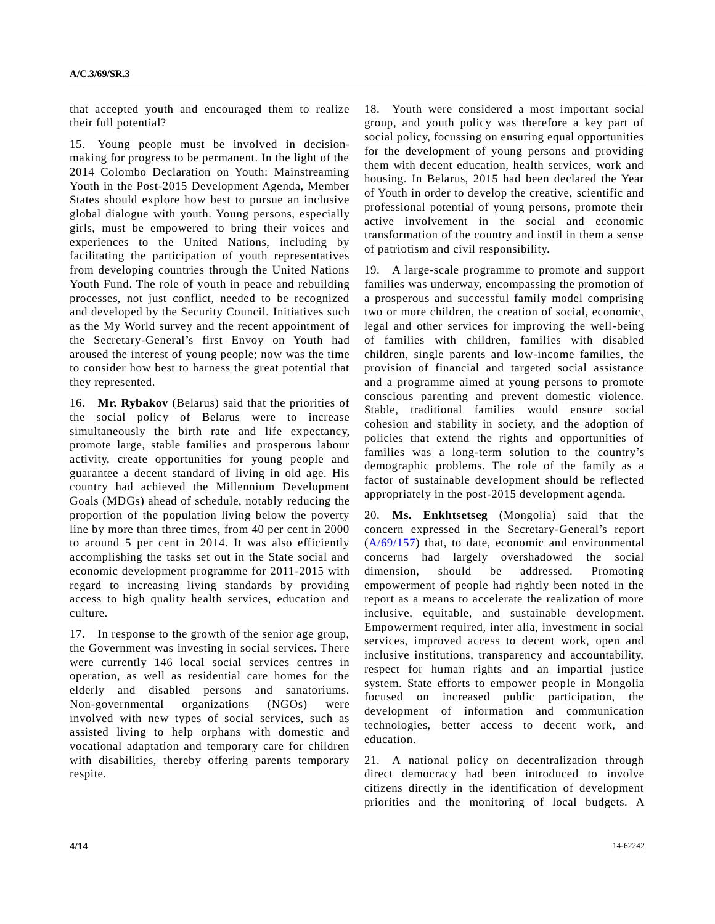that accepted youth and encouraged them to realize their full potential?

15. Young people must be involved in decisionmaking for progress to be permanent. In the light of the 2014 Colombo Declaration on Youth: Mainstreaming Youth in the Post-2015 Development Agenda, Member States should explore how best to pursue an inclusive global dialogue with youth. Young persons, especially girls, must be empowered to bring their voices and experiences to the United Nations, including by facilitating the participation of youth representatives from developing countries through the United Nations Youth Fund. The role of youth in peace and rebuilding processes, not just conflict, needed to be recognized and developed by the Security Council. Initiatives such as the My World survey and the recent appointment of the Secretary-General's first Envoy on Youth had aroused the interest of young people; now was the time to consider how best to harness the great potential that they represented.

16. **Mr. Rybakov** (Belarus) said that the priorities of the social policy of Belarus were to increase simultaneously the birth rate and life expectancy, promote large, stable families and prosperous labour activity, create opportunities for young people and guarantee a decent standard of living in old age. His country had achieved the Millennium Development Goals (MDGs) ahead of schedule, notably reducing the proportion of the population living below the poverty line by more than three times, from 40 per cent in 2000 to around 5 per cent in 2014. It was also efficiently accomplishing the tasks set out in the State social and economic development programme for 2011-2015 with regard to increasing living standards by providing access to high quality health services, education and culture.

17. In response to the growth of the senior age group, the Government was investing in social services. There were currently 146 local social services centres in operation, as well as residential care homes for the elderly and disabled persons and sanatoriums. Non-governmental organizations (NGOs) were involved with new types of social services, such as assisted living to help orphans with domestic and vocational adaptation and temporary care for children with disabilities, thereby offering parents temporary respite.

18. Youth were considered a most important social group, and youth policy was therefore a key part of social policy, focussing on ensuring equal opportunities for the development of young persons and providing them with decent education, health services, work and housing. In Belarus, 2015 had been declared the Year of Youth in order to develop the creative, scientific and professional potential of young persons, promote their active involvement in the social and economic transformation of the country and instil in them a sense of patriotism and civil responsibility.

19. A large-scale programme to promote and support families was underway, encompassing the promotion of a prosperous and successful family model comprising two or more children, the creation of social, economic, legal and other services for improving the well-being of families with children, families with disabled children, single parents and low-income families, the provision of financial and targeted social assistance and a programme aimed at young persons to promote conscious parenting and prevent domestic violence. Stable, traditional families would ensure social cohesion and stability in society, and the adoption of policies that extend the rights and opportunities of families was a long-term solution to the country's demographic problems. The role of the family as a factor of sustainable development should be reflected appropriately in the post-2015 development agenda.

20. **Ms. Enkhtsetseg** (Mongolia) said that the concern expressed in the Secretary-General's report [\(A/69/157\)](http://undocs.org/A/69/157) that, to date, economic and environmental concerns had largely overshadowed the social dimension, should be addressed. Promoting empowerment of people had rightly been noted in the report as a means to accelerate the realization of more inclusive, equitable, and sustainable development. Empowerment required, inter alia, investment in social services, improved access to decent work, open and inclusive institutions, transparency and accountability, respect for human rights and an impartial justice system. State efforts to empower people in Mongolia focused on increased public participation, the development of information and communication technologies, better access to decent work, and education.

21. A national policy on decentralization through direct democracy had been introduced to involve citizens directly in the identification of development priorities and the monitoring of local budgets. A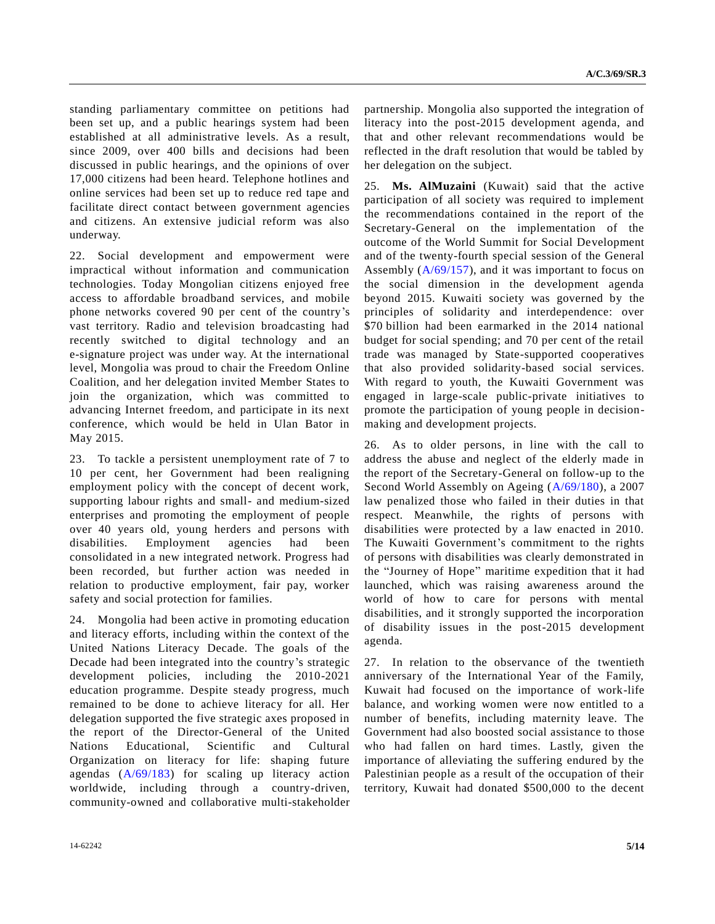standing parliamentary committee on petitions had been set up, and a public hearings system had been established at all administrative levels. As a result, since 2009, over 400 bills and decisions had been discussed in public hearings, and the opinions of over 17,000 citizens had been heard. Telephone hotlines and online services had been set up to reduce red tape and facilitate direct contact between government agencies and citizens. An extensive judicial reform was also underway.

22. Social development and empowerment were impractical without information and communication technologies. Today Mongolian citizens enjoyed free access to affordable broadband services, and mobile phone networks covered 90 per cent of the country's vast territory. Radio and television broadcasting had recently switched to digital technology and an e-signature project was under way. At the international level, Mongolia was proud to chair the Freedom Online Coalition, and her delegation invited Member States to join the organization, which was committed to advancing Internet freedom, and participate in its next conference, which would be held in Ulan Bator in May 2015.

23. To tackle a persistent unemployment rate of 7 to 10 per cent, her Government had been realigning employment policy with the concept of decent work, supporting labour rights and small- and medium-sized enterprises and promoting the employment of people over 40 years old, young herders and persons with disabilities. Employment agencies had been consolidated in a new integrated network. Progress had been recorded, but further action was needed in relation to productive employment, fair pay, worker safety and social protection for families.

24. Mongolia had been active in promoting education and literacy efforts, including within the context of the United Nations Literacy Decade. The goals of the Decade had been integrated into the country's strategic development policies, including the 2010-2021 education programme. Despite steady progress, much remained to be done to achieve literacy for all. Her delegation supported the five strategic axes proposed in the report of the Director-General of the United Nations Educational, Scientific and Cultural Organization on literacy for life: shaping future agendas [\(A/69/183\)](http://undocs.org/A/69/183) for scaling up literacy action worldwide, including through a country-driven, community-owned and collaborative multi-stakeholder

partnership. Mongolia also supported the integration of literacy into the post-2015 development agenda, and that and other relevant recommendations would be reflected in the draft resolution that would be tabled by her delegation on the subject.

25. **Ms. AlMuzaini** (Kuwait) said that the active participation of all society was required to implement the recommendations contained in the report of the Secretary-General on the implementation of the outcome of the World Summit for Social Development and of the twenty-fourth special session of the General Assembly  $(A/69/157)$ , and it was important to focus on the social dimension in the development agenda beyond 2015. Kuwaiti society was governed by the principles of solidarity and interdependence: over \$70 billion had been earmarked in the 2014 national budget for social spending; and 70 per cent of the retail trade was managed by State-supported cooperatives that also provided solidarity-based social services. With regard to youth, the Kuwaiti Government was engaged in large-scale public-private initiatives to promote the participation of young people in decisionmaking and development projects.

26. As to older persons, in line with the call to address the abuse and neglect of the elderly made in the report of the Secretary-General on follow-up to the Second World Assembly on Ageing [\(A/69/180\)](http://undocs.org/A/69/180), a 2007 law penalized those who failed in their duties in that respect. Meanwhile, the rights of persons with disabilities were protected by a law enacted in 2010. The Kuwaiti Government's commitment to the rights of persons with disabilities was clearly demonstrated in the "Journey of Hope" maritime expedition that it had launched, which was raising awareness around the world of how to care for persons with mental disabilities, and it strongly supported the incorporation of disability issues in the post-2015 development agenda.

27. In relation to the observance of the twentieth anniversary of the International Year of the Family, Kuwait had focused on the importance of work-life balance, and working women were now entitled to a number of benefits, including maternity leave. The Government had also boosted social assistance to those who had fallen on hard times. Lastly, given the importance of alleviating the suffering endured by the Palestinian people as a result of the occupation of their territory, Kuwait had donated \$500,000 to the decent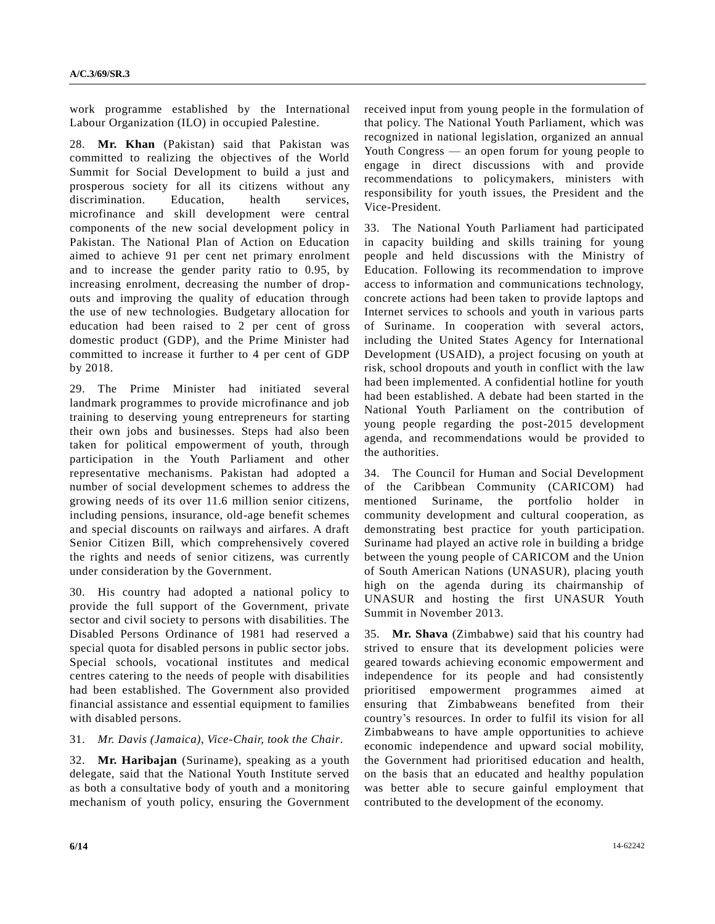work programme established by the International Labour Organization (ILO) in occupied Palestine.

28. **Mr. Khan** (Pakistan) said that Pakistan was committed to realizing the objectives of the World Summit for Social Development to build a just and prosperous society for all its citizens without any discrimination. Education, health services, microfinance and skill development were central components of the new social development policy in Pakistan. The National Plan of Action on Education aimed to achieve 91 per cent net primary enrolment and to increase the gender parity ratio to 0.95, by increasing enrolment, decreasing the number of dropouts and improving the quality of education through the use of new technologies. Budgetary allocation for education had been raised to 2 per cent of gross domestic product (GDP), and the Prime Minister had committed to increase it further to 4 per cent of GDP by 2018.

29. The Prime Minister had initiated several landmark programmes to provide microfinance and job training to deserving young entrepreneurs for starting their own jobs and businesses. Steps had also been taken for political empowerment of youth, through participation in the Youth Parliament and other representative mechanisms. Pakistan had adopted a number of social development schemes to address the growing needs of its over 11.6 million senior citizens, including pensions, insurance, old-age benefit schemes and special discounts on railways and airfares. A draft Senior Citizen Bill, which comprehensively covered the rights and needs of senior citizens, was currently under consideration by the Government.

30. His country had adopted a national policy to provide the full support of the Government, private sector and civil society to persons with disabilities. The Disabled Persons Ordinance of 1981 had reserved a special quota for disabled persons in public sector jobs. Special schools, vocational institutes and medical centres catering to the needs of people with disabilities had been established. The Government also provided financial assistance and essential equipment to families with disabled persons.

## 31. *Mr. Davis (Jamaica), Vice-Chair, took the Chair*.

32. **Mr. Haribajan** (Suriname), speaking as a youth delegate, said that the National Youth Institute served as both a consultative body of youth and a monitoring mechanism of youth policy, ensuring the Government received input from young people in the formulation of that policy. The National Youth Parliament, which was recognized in national legislation, organized an annual Youth Congress — an open forum for young people to engage in direct discussions with and provide recommendations to policymakers, ministers with responsibility for youth issues, the President and the Vice-President.

33. The National Youth Parliament had participated in capacity building and skills training for young people and held discussions with the Ministry of Education. Following its recommendation to improve access to information and communications technology, concrete actions had been taken to provide laptops and Internet services to schools and youth in various parts of Suriname. In cooperation with several actors, including the United States Agency for International Development (USAID), a project focusing on youth at risk, school dropouts and youth in conflict with the law had been implemented. A confidential hotline for youth had been established. A debate had been started in the National Youth Parliament on the contribution of young people regarding the post-2015 development agenda, and recommendations would be provided to the authorities.

34. The Council for Human and Social Development of the Caribbean Community (CARICOM) had mentioned Suriname, the portfolio holder in community development and cultural cooperation, as demonstrating best practice for youth participation. Suriname had played an active role in building a bridge between the young people of CARICOM and the Union of South American Nations (UNASUR), placing youth high on the agenda during its chairmanship of UNASUR and hosting the first UNASUR Youth Summit in November 2013.

35. **Mr. Shava** (Zimbabwe) said that his country had strived to ensure that its development policies were geared towards achieving economic empowerment and independence for its people and had consistently prioritised empowerment programmes aimed at ensuring that Zimbabweans benefited from their country's resources. In order to fulfil its vision for all Zimbabweans to have ample opportunities to achieve economic independence and upward social mobility, the Government had prioritised education and health, on the basis that an educated and healthy population was better able to secure gainful employment that contributed to the development of the economy.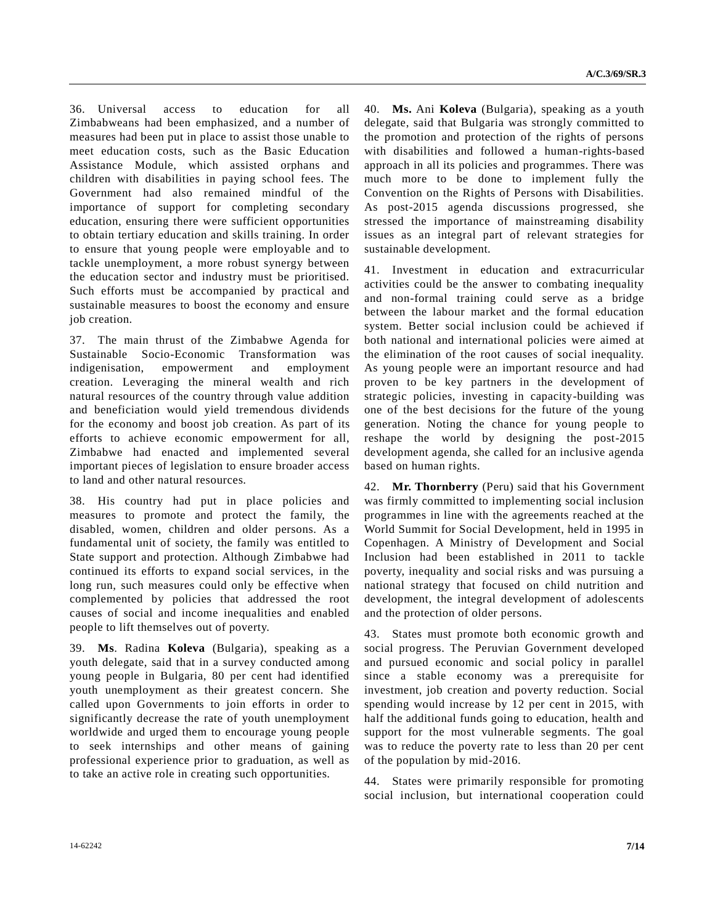36. Universal access to education for all Zimbabweans had been emphasized, and a number of measures had been put in place to assist those unable to meet education costs, such as the Basic Education Assistance Module, which assisted orphans and children with disabilities in paying school fees. The Government had also remained mindful of the importance of support for completing secondary education, ensuring there were sufficient opportunities to obtain tertiary education and skills training. In order to ensure that young people were employable and to tackle unemployment, a more robust synergy between the education sector and industry must be prioritised. Such efforts must be accompanied by practical and sustainable measures to boost the economy and ensure job creation.

37. The main thrust of the Zimbabwe Agenda for Sustainable Socio-Economic Transformation was indigenisation, empowerment and employment creation. Leveraging the mineral wealth and rich natural resources of the country through value addition and beneficiation would yield tremendous dividends for the economy and boost job creation. As part of its efforts to achieve economic empowerment for all, Zimbabwe had enacted and implemented several important pieces of legislation to ensure broader access to land and other natural resources.

38. His country had put in place policies and measures to promote and protect the family, the disabled, women, children and older persons. As a fundamental unit of society, the family was entitled to State support and protection. Although Zimbabwe had continued its efforts to expand social services, in the long run, such measures could only be effective when complemented by policies that addressed the root causes of social and income inequalities and enabled people to lift themselves out of poverty.

39. **Ms**. Radina **Koleva** (Bulgaria), speaking as a youth delegate, said that in a survey conducted among young people in Bulgaria, 80 per cent had identified youth unemployment as their greatest concern. She called upon Governments to join efforts in order to significantly decrease the rate of youth unemployment worldwide and urged them to encourage young people to seek internships and other means of gaining professional experience prior to graduation, as well as to take an active role in creating such opportunities.

40. **Ms.** Ani **Koleva** (Bulgaria), speaking as a youth delegate, said that Bulgaria was strongly committed to the promotion and protection of the rights of persons with disabilities and followed a human-rights-based approach in all its policies and programmes. There was much more to be done to implement fully the Convention on the Rights of Persons with Disabilities. As post-2015 agenda discussions progressed, she stressed the importance of mainstreaming disability issues as an integral part of relevant strategies for sustainable development.

41. Investment in education and extracurricular activities could be the answer to combating inequality and non-formal training could serve as a bridge between the labour market and the formal education system. Better social inclusion could be achieved if both national and international policies were aimed at the elimination of the root causes of social inequality. As young people were an important resource and had proven to be key partners in the development of strategic policies, investing in capacity-building was one of the best decisions for the future of the young generation. Noting the chance for young people to reshape the world by designing the post-2015 development agenda, she called for an inclusive agenda based on human rights.

42. **Mr. Thornberry** (Peru) said that his Government was firmly committed to implementing social inclusion programmes in line with the agreements reached at the World Summit for Social Development, held in 1995 in Copenhagen. A Ministry of Development and Social Inclusion had been established in 2011 to tackle poverty, inequality and social risks and was pursuing a national strategy that focused on child nutrition and development, the integral development of adolescents and the protection of older persons.

43. States must promote both economic growth and social progress. The Peruvian Government developed and pursued economic and social policy in parallel since a stable economy was a prerequisite for investment, job creation and poverty reduction. Social spending would increase by 12 per cent in 2015, with half the additional funds going to education, health and support for the most vulnerable segments. The goal was to reduce the poverty rate to less than 20 per cent of the population by mid-2016.

44. States were primarily responsible for promoting social inclusion, but international cooperation could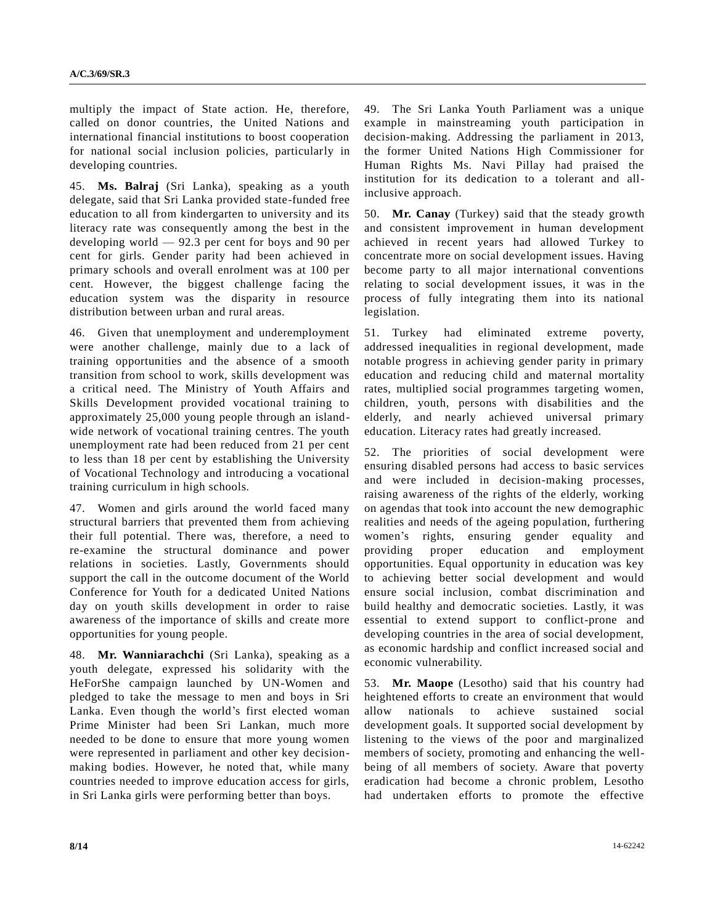multiply the impact of State action. He, therefore, called on donor countries, the United Nations and international financial institutions to boost cooperation for national social inclusion policies, particularly in developing countries.

45. **Ms. Balraj** (Sri Lanka), speaking as a youth delegate, said that Sri Lanka provided state-funded free education to all from kindergarten to university and its literacy rate was consequently among the best in the developing world — 92.3 per cent for boys and 90 per cent for girls. Gender parity had been achieved in primary schools and overall enrolment was at 100 per cent. However, the biggest challenge facing the education system was the disparity in resource distribution between urban and rural areas.

46. Given that unemployment and underemployment were another challenge, mainly due to a lack of training opportunities and the absence of a smooth transition from school to work, skills development was a critical need. The Ministry of Youth Affairs and Skills Development provided vocational training to approximately 25,000 young people through an islandwide network of vocational training centres. The youth unemployment rate had been reduced from 21 per cent to less than 18 per cent by establishing the University of Vocational Technology and introducing a vocational training curriculum in high schools.

47. Women and girls around the world faced many structural barriers that prevented them from achieving their full potential. There was, therefore, a need to re-examine the structural dominance and power relations in societies. Lastly, Governments should support the call in the outcome document of the World Conference for Youth for a dedicated United Nations day on youth skills development in order to raise awareness of the importance of skills and create more opportunities for young people.

48. **Mr. Wanniarachchi** (Sri Lanka), speaking as a youth delegate, expressed his solidarity with the HeForShe campaign launched by UN-Women and pledged to take the message to men and boys in Sri Lanka. Even though the world's first elected woman Prime Minister had been Sri Lankan, much more needed to be done to ensure that more young women were represented in parliament and other key decisionmaking bodies. However, he noted that, while many countries needed to improve education access for girls, in Sri Lanka girls were performing better than boys.

49. The Sri Lanka Youth Parliament was a unique example in mainstreaming youth participation in decision-making. Addressing the parliament in 2013, the former United Nations High Commissioner for Human Rights Ms. Navi Pillay had praised the institution for its dedication to a tolerant and allinclusive approach.

50. **Mr. Canay** (Turkey) said that the steady growth and consistent improvement in human development achieved in recent years had allowed Turkey to concentrate more on social development issues. Having become party to all major international conventions relating to social development issues, it was in the process of fully integrating them into its national legislation.

51. Turkey had eliminated extreme poverty, addressed inequalities in regional development, made notable progress in achieving gender parity in primary education and reducing child and maternal mortality rates, multiplied social programmes targeting women, children, youth, persons with disabilities and the elderly, and nearly achieved universal primary education. Literacy rates had greatly increased.

52. The priorities of social development were ensuring disabled persons had access to basic services and were included in decision-making processes, raising awareness of the rights of the elderly, working on agendas that took into account the new demographic realities and needs of the ageing population, furthering women's rights, ensuring gender equality and providing proper education and employment opportunities. Equal opportunity in education was key to achieving better social development and would ensure social inclusion, combat discrimination and build healthy and democratic societies. Lastly, it was essential to extend support to conflict-prone and developing countries in the area of social development, as economic hardship and conflict increased social and economic vulnerability.

53. **Mr. Maope** (Lesotho) said that his country had heightened efforts to create an environment that would allow nationals to achieve sustained social development goals. It supported social development by listening to the views of the poor and marginalized members of society, promoting and enhancing the wellbeing of all members of society. Aware that poverty eradication had become a chronic problem, Lesotho had undertaken efforts to promote the effective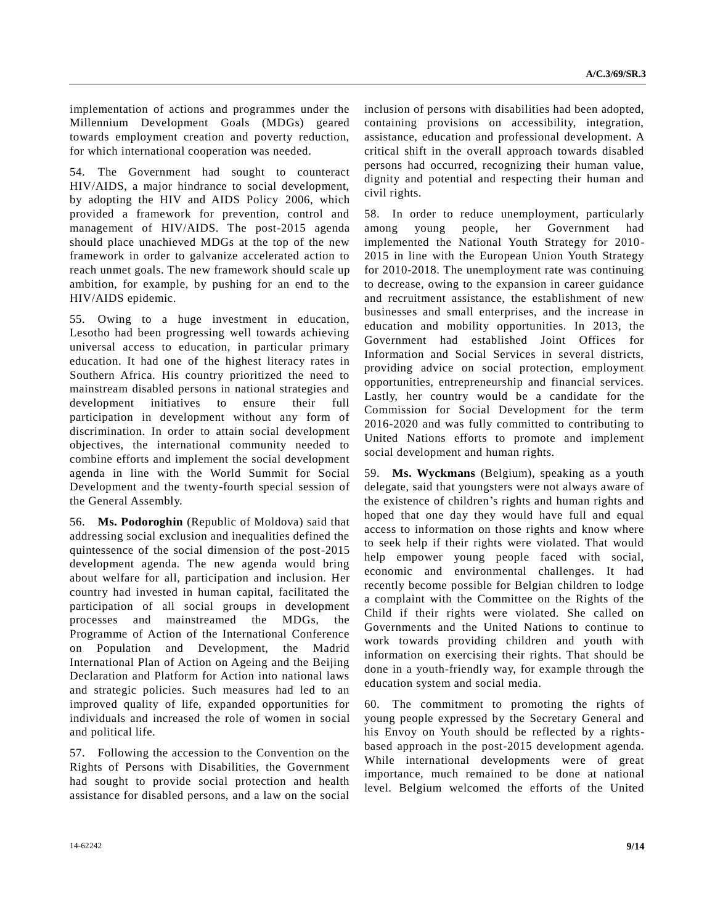implementation of actions and programmes under the Millennium Development Goals (MDGs) geared towards employment creation and poverty reduction, for which international cooperation was needed.

54. The Government had sought to counteract HIV/AIDS, a major hindrance to social development, by adopting the HIV and AIDS Policy 2006, which provided a framework for prevention, control and management of HIV/AIDS. The post-2015 agenda should place unachieved MDGs at the top of the new framework in order to galvanize accelerated action to reach unmet goals. The new framework should scale up ambition, for example, by pushing for an end to the HIV/AIDS epidemic.

55. Owing to a huge investment in education, Lesotho had been progressing well towards achieving universal access to education, in particular primary education. It had one of the highest literacy rates in Southern Africa. His country prioritized the need to mainstream disabled persons in national strategies and development initiatives to ensure their full participation in development without any form of discrimination. In order to attain social development objectives, the international community needed to combine efforts and implement the social development agenda in line with the World Summit for Social Development and the twenty-fourth special session of the General Assembly.

56. **Ms. Podoroghin** (Republic of Moldova) said that addressing social exclusion and inequalities defined the quintessence of the social dimension of the post-2015 development agenda. The new agenda would bring about welfare for all, participation and inclusion. Her country had invested in human capital, facilitated the participation of all social groups in development processes and mainstreamed the MDGs, the Programme of Action of the International Conference on Population and Development, the Madrid International Plan of Action on Ageing and the Beijing Declaration and Platform for Action into national laws and strategic policies. Such measures had led to an improved quality of life, expanded opportunities for individuals and increased the role of women in social and political life.

57. Following the accession to the Convention on the Rights of Persons with Disabilities, the Government had sought to provide social protection and health assistance for disabled persons, and a law on the social inclusion of persons with disabilities had been adopted, containing provisions on accessibility, integration, assistance, education and professional development. A critical shift in the overall approach towards disabled persons had occurred, recognizing their human value, dignity and potential and respecting their human and civil rights.

58. In order to reduce unemployment, particularly among young people, her Government had implemented the National Youth Strategy for 2010- 2015 in line with the European Union Youth Strategy for 2010-2018. The unemployment rate was continuing to decrease, owing to the expansion in career guidance and recruitment assistance, the establishment of new businesses and small enterprises, and the increase in education and mobility opportunities. In 2013, the Government had established Joint Offices for Information and Social Services in several districts, providing advice on social protection, employment opportunities, entrepreneurship and financial services. Lastly, her country would be a candidate for the Commission for Social Development for the term 2016-2020 and was fully committed to contributing to United Nations efforts to promote and implement social development and human rights.

59. **Ms. Wyckmans** (Belgium), speaking as a youth delegate, said that youngsters were not always aware of the existence of children's rights and human rights and hoped that one day they would have full and equal access to information on those rights and know where to seek help if their rights were violated. That would help empower young people faced with social, economic and environmental challenges. It had recently become possible for Belgian children to lodge a complaint with the Committee on the Rights of the Child if their rights were violated. She called on Governments and the United Nations to continue to work towards providing children and youth with information on exercising their rights. That should be done in a youth-friendly way, for example through the education system and social media.

60. The commitment to promoting the rights of young people expressed by the Secretary General and his Envoy on Youth should be reflected by a rightsbased approach in the post-2015 development agenda. While international developments were of great importance, much remained to be done at national level. Belgium welcomed the efforts of the United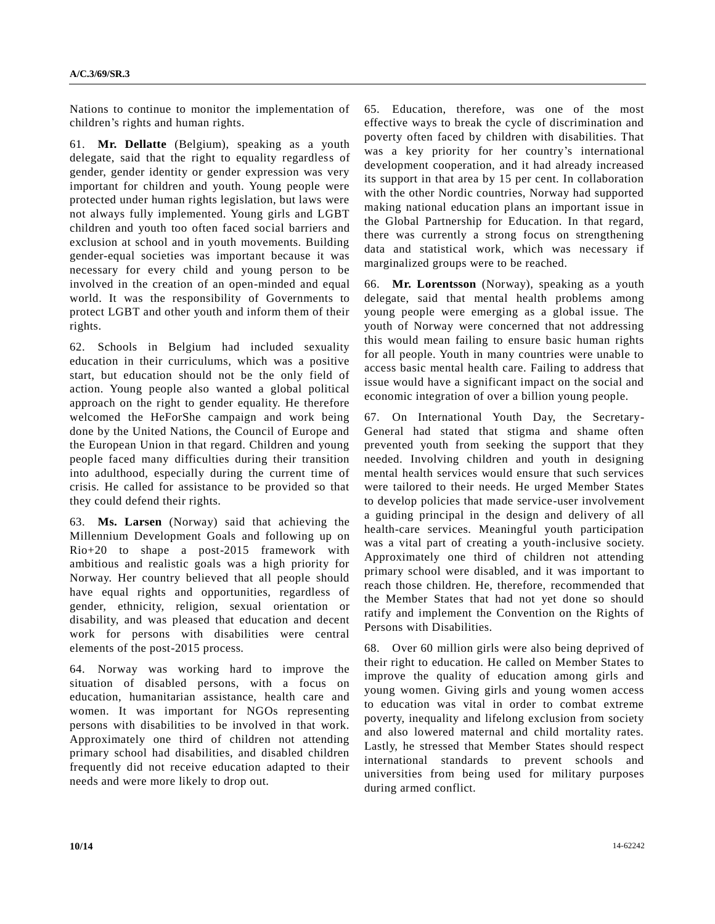Nations to continue to monitor the implementation of children's rights and human rights.

61. **Mr. Dellatte** (Belgium), speaking as a youth delegate, said that the right to equality regardless of gender, gender identity or gender expression was very important for children and youth. Young people were protected under human rights legislation, but laws were not always fully implemented. Young girls and LGBT children and youth too often faced social barriers and exclusion at school and in youth movements. Building gender-equal societies was important because it was necessary for every child and young person to be involved in the creation of an open-minded and equal world. It was the responsibility of Governments to protect LGBT and other youth and inform them of their rights.

62. Schools in Belgium had included sexuality education in their curriculums, which was a positive start, but education should not be the only field of action. Young people also wanted a global political approach on the right to gender equality. He therefore welcomed the HeForShe campaign and work being done by the United Nations, the Council of Europe and the European Union in that regard. Children and young people faced many difficulties during their transition into adulthood, especially during the current time of crisis. He called for assistance to be provided so that they could defend their rights.

63. **Ms. Larsen** (Norway) said that achieving the Millennium Development Goals and following up on Rio+20 to shape a post-2015 framework with ambitious and realistic goals was a high priority for Norway. Her country believed that all people should have equal rights and opportunities, regardless of gender, ethnicity, religion, sexual orientation or disability, and was pleased that education and decent work for persons with disabilities were central elements of the post-2015 process.

64. Norway was working hard to improve the situation of disabled persons, with a focus on education, humanitarian assistance, health care and women. It was important for NGOs representing persons with disabilities to be involved in that work. Approximately one third of children not attending primary school had disabilities, and disabled children frequently did not receive education adapted to their needs and were more likely to drop out.

65. Education, therefore, was one of the most effective ways to break the cycle of discrimination and poverty often faced by children with disabilities. That was a key priority for her country's international development cooperation, and it had already increased its support in that area by 15 per cent. In collaboration with the other Nordic countries, Norway had supported making national education plans an important issue in the Global Partnership for Education. In that regard, there was currently a strong focus on strengthening data and statistical work, which was necessary if marginalized groups were to be reached.

66. **Mr. Lorentsson** (Norway), speaking as a youth delegate, said that mental health problems among young people were emerging as a global issue. The youth of Norway were concerned that not addressing this would mean failing to ensure basic human rights for all people. Youth in many countries were unable to access basic mental health care. Failing to address that issue would have a significant impact on the social and economic integration of over a billion young people.

67. On International Youth Day, the Secretary-General had stated that stigma and shame often prevented youth from seeking the support that they needed. Involving children and youth in designing mental health services would ensure that such services were tailored to their needs. He urged Member States to develop policies that made service-user involvement a guiding principal in the design and delivery of all health-care services. Meaningful youth participation was a vital part of creating a youth-inclusive society. Approximately one third of children not attending primary school were disabled, and it was important to reach those children. He, therefore, recommended that the Member States that had not yet done so should ratify and implement the Convention on the Rights of Persons with Disabilities.

68. Over 60 million girls were also being deprived of their right to education. He called on Member States to improve the quality of education among girls and young women. Giving girls and young women access to education was vital in order to combat extreme poverty, inequality and lifelong exclusion from society and also lowered maternal and child mortality rates. Lastly, he stressed that Member States should respect international standards to prevent schools and universities from being used for military purposes during armed conflict.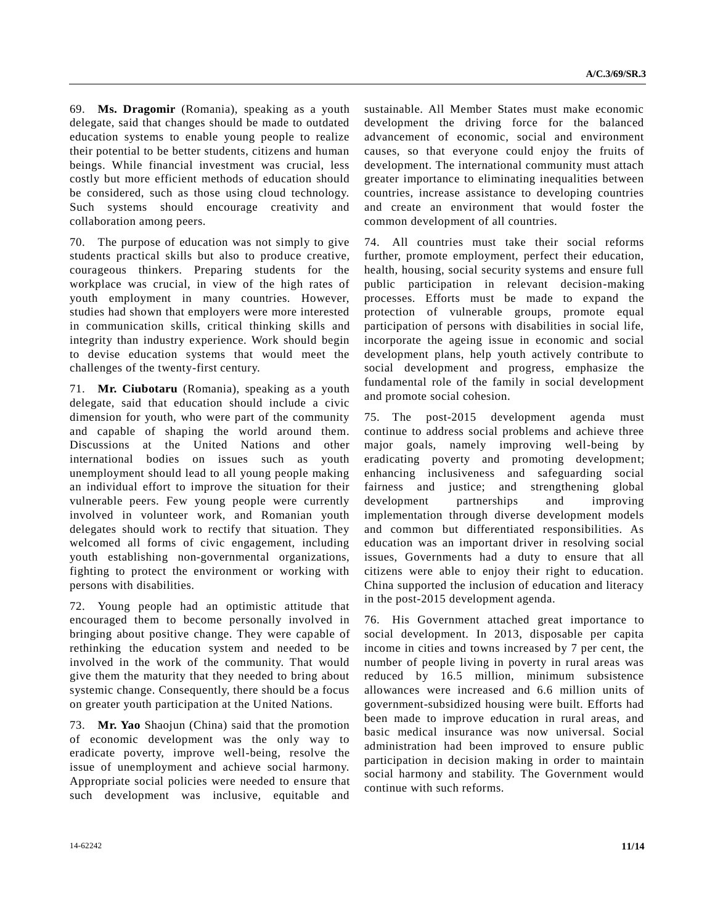69. **Ms. Dragomir** (Romania), speaking as a youth delegate, said that changes should be made to outdated education systems to enable young people to realize their potential to be better students, citizens and human beings. While financial investment was crucial, less costly but more efficient methods of education should be considered, such as those using cloud technology. Such systems should encourage creativity and collaboration among peers.

70. The purpose of education was not simply to give students practical skills but also to produce creative, courageous thinkers. Preparing students for the workplace was crucial, in view of the high rates of youth employment in many countries. However, studies had shown that employers were more interested in communication skills, critical thinking skills and integrity than industry experience. Work should begin to devise education systems that would meet the challenges of the twenty-first century.

71. **Mr. Ciubotaru** (Romania), speaking as a youth delegate, said that education should include a civic dimension for youth, who were part of the community and capable of shaping the world around them. Discussions at the United Nations and other international bodies on issues such as youth unemployment should lead to all young people making an individual effort to improve the situation for their vulnerable peers. Few young people were currently involved in volunteer work, and Romanian youth delegates should work to rectify that situation. They welcomed all forms of civic engagement, including youth establishing non-governmental organizations, fighting to protect the environment or working with persons with disabilities.

72. Young people had an optimistic attitude that encouraged them to become personally involved in bringing about positive change. They were capable of rethinking the education system and needed to be involved in the work of the community. That would give them the maturity that they needed to bring about systemic change. Consequently, there should be a focus on greater youth participation at the United Nations.

73. **Mr. Yao** Shaojun (China) said that the promotion of economic development was the only way to eradicate poverty, improve well-being, resolve the issue of unemployment and achieve social harmony. Appropriate social policies were needed to ensure that such development was inclusive, equitable and

sustainable. All Member States must make economic development the driving force for the balanced advancement of economic, social and environment causes, so that everyone could enjoy the fruits of development. The international community must attach greater importance to eliminating inequalities between countries, increase assistance to developing countries and create an environment that would foster the common development of all countries.

74. All countries must take their social reforms further, promote employment, perfect their education, health, housing, social security systems and ensure full public participation in relevant decision-making processes. Efforts must be made to expand the protection of vulnerable groups, promote equal participation of persons with disabilities in social life, incorporate the ageing issue in economic and social development plans, help youth actively contribute to social development and progress, emphasize the fundamental role of the family in social development and promote social cohesion.

75. The post-2015 development agenda must continue to address social problems and achieve three major goals, namely improving well-being by eradicating poverty and promoting development; enhancing inclusiveness and safeguarding social fairness and justice; and strengthening global development partnerships and improving implementation through diverse development models and common but differentiated responsibilities. As education was an important driver in resolving social issues, Governments had a duty to ensure that all citizens were able to enjoy their right to education. China supported the inclusion of education and literacy in the post-2015 development agenda.

76. His Government attached great importance to social development. In 2013, disposable per capita income in cities and towns increased by 7 per cent, the number of people living in poverty in rural areas was reduced by 16.5 million, minimum subsistence allowances were increased and 6.6 million units of government-subsidized housing were built. Efforts had been made to improve education in rural areas, and basic medical insurance was now universal. Social administration had been improved to ensure public participation in decision making in order to maintain social harmony and stability. The Government would continue with such reforms.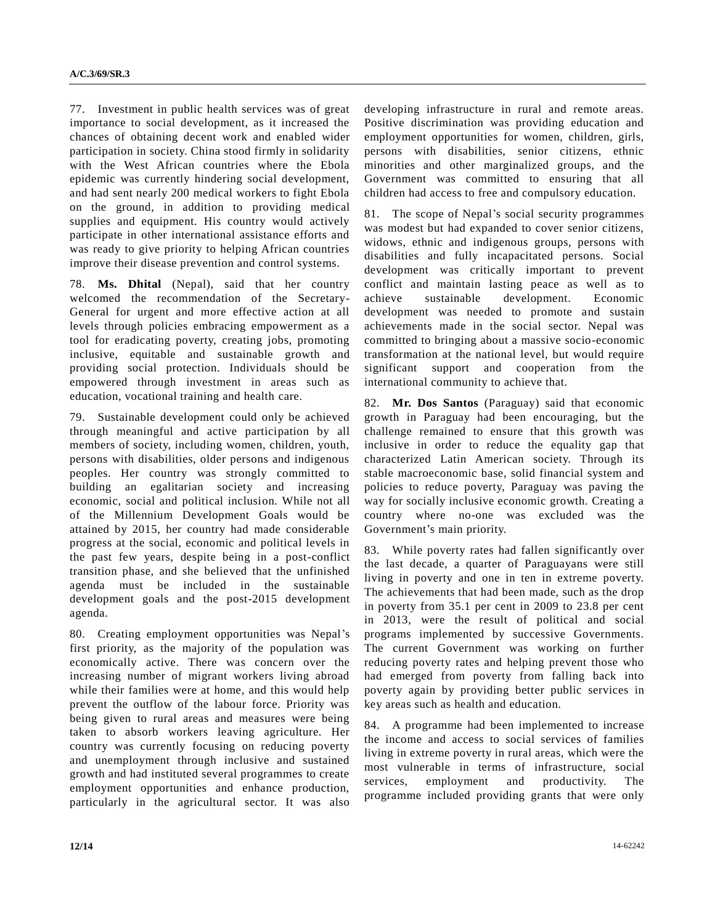77. Investment in public health services was of great importance to social development, as it increased the chances of obtaining decent work and enabled wider participation in society. China stood firmly in solidarity with the West African countries where the Ebola epidemic was currently hindering social development, and had sent nearly 200 medical workers to fight Ebola on the ground, in addition to providing medical supplies and equipment. His country would actively participate in other international assistance efforts and was ready to give priority to helping African countries improve their disease prevention and control systems.

78. **Ms. Dhital** (Nepal), said that her country welcomed the recommendation of the Secretary-General for urgent and more effective action at all levels through policies embracing empowerment as a tool for eradicating poverty, creating jobs, promoting inclusive, equitable and sustainable growth and providing social protection. Individuals should be empowered through investment in areas such as education, vocational training and health care.

79. Sustainable development could only be achieved through meaningful and active participation by all members of society, including women, children, youth, persons with disabilities, older persons and indigenous peoples. Her country was strongly committed to building an egalitarian society and increasing economic, social and political inclusion. While not all of the Millennium Development Goals would be attained by 2015, her country had made considerable progress at the social, economic and political levels in the past few years, despite being in a post-conflict transition phase, and she believed that the unfinished agenda must be included in the sustainable development goals and the post-2015 development agenda.

80. Creating employment opportunities was Nepal's first priority, as the majority of the population was economically active. There was concern over the increasing number of migrant workers living abroad while their families were at home, and this would help prevent the outflow of the labour force. Priority was being given to rural areas and measures were being taken to absorb workers leaving agriculture. Her country was currently focusing on reducing poverty and unemployment through inclusive and sustained growth and had instituted several programmes to create employment opportunities and enhance production, particularly in the agricultural sector. It was also developing infrastructure in rural and remote areas. Positive discrimination was providing education and employment opportunities for women, children, girls, persons with disabilities, senior citizens, ethnic minorities and other marginalized groups, and the Government was committed to ensuring that all children had access to free and compulsory education.

81. The scope of Nepal's social security programmes was modest but had expanded to cover senior citizens, widows, ethnic and indigenous groups, persons with disabilities and fully incapacitated persons. Social development was critically important to prevent conflict and maintain lasting peace as well as to achieve sustainable development. Economic development was needed to promote and sustain achievements made in the social sector. Nepal was committed to bringing about a massive socio-economic transformation at the national level, but would require significant support and cooperation from the international community to achieve that.

82. **Mr. Dos Santos** (Paraguay) said that economic growth in Paraguay had been encouraging, but the challenge remained to ensure that this growth was inclusive in order to reduce the equality gap that characterized Latin American society. Through its stable macroeconomic base, solid financial system and policies to reduce poverty, Paraguay was paving the way for socially inclusive economic growth. Creating a country where no-one was excluded was the Government's main priority.

83. While poverty rates had fallen significantly over the last decade, a quarter of Paraguayans were still living in poverty and one in ten in extreme poverty. The achievements that had been made, such as the drop in poverty from 35.1 per cent in 2009 to 23.8 per cent in 2013, were the result of political and social programs implemented by successive Governments. The current Government was working on further reducing poverty rates and helping prevent those who had emerged from poverty from falling back into poverty again by providing better public services in key areas such as health and education.

84. A programme had been implemented to increase the income and access to social services of families living in extreme poverty in rural areas, which were the most vulnerable in terms of infrastructure, social services, employment and productivity. The programme included providing grants that were only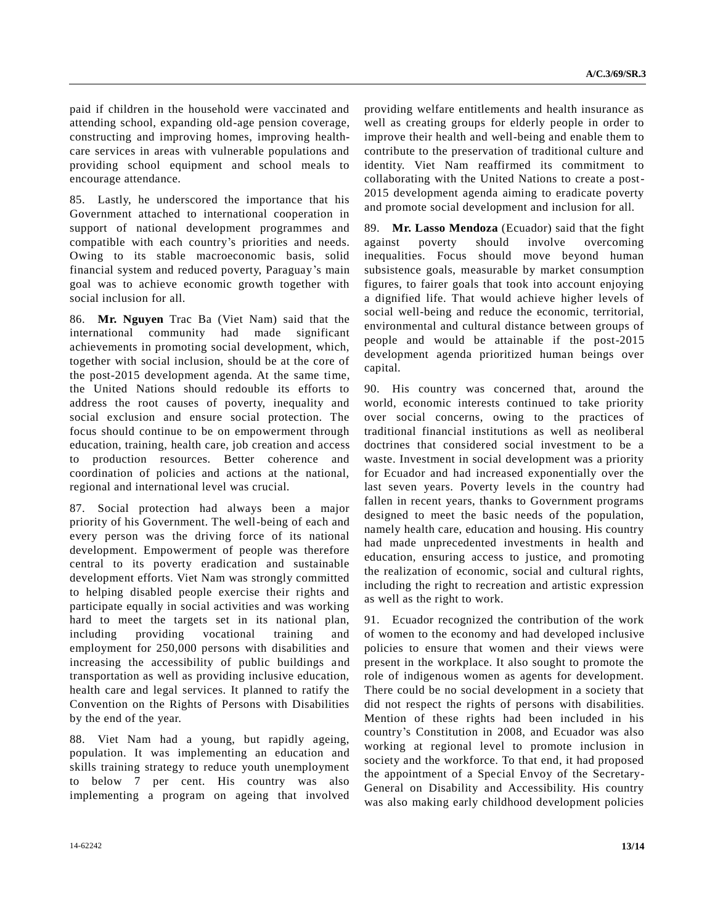paid if children in the household were vaccinated and attending school, expanding old-age pension coverage, constructing and improving homes, improving healthcare services in areas with vulnerable populations and providing school equipment and school meals to encourage attendance.

85. Lastly, he underscored the importance that his Government attached to international cooperation in support of national development programmes and compatible with each country's priorities and needs. Owing to its stable macroeconomic basis, solid financial system and reduced poverty, Paraguay's main goal was to achieve economic growth together with social inclusion for all.

86. **Mr. Nguyen** Trac Ba (Viet Nam) said that the international community had made significant achievements in promoting social development, which, together with social inclusion, should be at the core of the post-2015 development agenda. At the same time, the United Nations should redouble its efforts to address the root causes of poverty, inequality and social exclusion and ensure social protection. The focus should continue to be on empowerment through education, training, health care, job creation and access to production resources. Better coherence and coordination of policies and actions at the national, regional and international level was crucial.

87. Social protection had always been a major priority of his Government. The well-being of each and every person was the driving force of its national development. Empowerment of people was therefore central to its poverty eradication and sustainable development efforts. Viet Nam was strongly committed to helping disabled people exercise their rights and participate equally in social activities and was working hard to meet the targets set in its national plan, including providing vocational training and employment for 250,000 persons with disabilities and increasing the accessibility of public buildings and transportation as well as providing inclusive education, health care and legal services. It planned to ratify the Convention on the Rights of Persons with Disabilities by the end of the year.

88. Viet Nam had a young, but rapidly ageing, population. It was implementing an education and skills training strategy to reduce youth unemployment to below 7 per cent. His country was also implementing a program on ageing that involved providing welfare entitlements and health insurance as well as creating groups for elderly people in order to improve their health and well-being and enable them to contribute to the preservation of traditional culture and identity. Viet Nam reaffirmed its commitment to collaborating with the United Nations to create a post-2015 development agenda aiming to eradicate poverty and promote social development and inclusion for all.

89. **Mr. Lasso Mendoza** (Ecuador) said that the fight against poverty should involve overcoming inequalities. Focus should move beyond human subsistence goals, measurable by market consumption figures, to fairer goals that took into account enjoying a dignified life. That would achieve higher levels of social well-being and reduce the economic, territorial, environmental and cultural distance between groups of people and would be attainable if the post-2015 development agenda prioritized human beings over capital.

90. His country was concerned that, around the world, economic interests continued to take priority over social concerns, owing to the practices of traditional financial institutions as well as neoliberal doctrines that considered social investment to be a waste. Investment in social development was a priority for Ecuador and had increased exponentially over the last seven years. Poverty levels in the country had fallen in recent years, thanks to Government programs designed to meet the basic needs of the population, namely health care, education and housing. His country had made unprecedented investments in health and education, ensuring access to justice, and promoting the realization of economic, social and cultural rights, including the right to recreation and artistic expression as well as the right to work.

91. Ecuador recognized the contribution of the work of women to the economy and had developed inclusive policies to ensure that women and their views were present in the workplace. It also sought to promote the role of indigenous women as agents for development. There could be no social development in a society that did not respect the rights of persons with disabilities. Mention of these rights had been included in his country's Constitution in 2008, and Ecuador was also working at regional level to promote inclusion in society and the workforce. To that end, it had proposed the appointment of a Special Envoy of the Secretary-General on Disability and Accessibility. His country was also making early childhood development policies